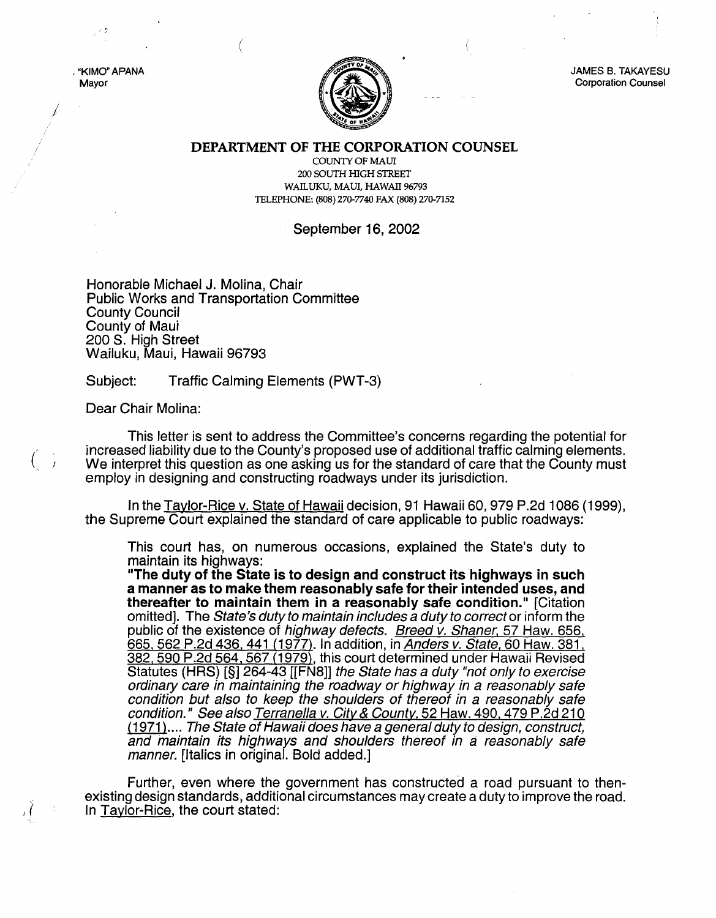JAMES B. TAKAYESU Corporation Counsel

DEPARTMENT OF THE CORPORATION COUNSEL

COUNTY OF MAUl 200 SOUTH HIGH STREET WAILUKU, MAUl, HAWAII 96793 TELEPHONE: (808) 270-7740 FAX (808) 270-7152

## September 16, 2002

Honorable Michael J. Molina, Chair Public Works and Transportation Committee County Council County of Maui 200 S. High Street Wailuku, Maui, Hawaii 96793

Subject: Traffic Calming Elements (PWT-3)

Dear Chair Molina:

 $\vec($ 

, "KIMO" APANA Mayor

> This letter is sent to address the Committee's concerns regarding the potential for increased liability due to the County's proposed use of additional traffic calming elements. We interpret this question as one asking us for the standard of care that the County must employ in designing and constructing roadways under its jurisdiction.

> In the Taylor-Rice v. State of Hawaii decision, 91 Hawaii 60, 979 P.2d 1086 (1999), the Supreme Court explained the standard of care applicable to public roadways:

This court has, on numerous occasions, explained the State's duty to maintain its highways:

"The duty of the State is to design and construct its highways in such a manner as to make them reasonably safe for their intended uses, and thereafter to maintain them in a reasonably safe condition." [Citation omitted]. The State's duty to maintain includes a duty to correct or inform the public of the existence of *highway defects. Breed v. Shaner*, 57 Haw. 656, 665, 562 P.2d 436, 441 (1977). In addition, in *Anders v. State,* 60 Haw. 381, 382,590 P.2d 564, 567 (1979), this court determined under Hawaii Revised Statutes (HRS) [§] 264-43 [[FN8]] the State has a duty "not only to exercise ordinary care in maintaining the roadway or highway in a reasonably safe condition but also to keep the shoulders of thereof in a reasonably safe condition." See also Terranella v. City & County, 52 Haw. 490, 479 P.2d 210 (1971).... The State of Hawaii does have a general duty to design, construct, and maintain its highways and shoulders thereof in a reasonably safe manner. [Italics in original. Bold added.]

Further, even where the government has constructed a road pursuant to thenexisting design standards, additional circumstances may create a duty to improve the road. In Taylor-Rice, the court stated: